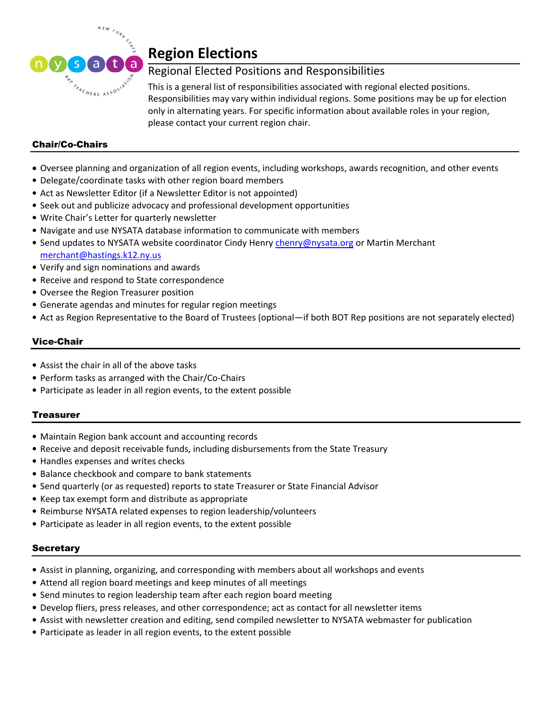

# **Region Elections**

# Regional Elected Positions and Responsibilities

This is a general list of responsibilities associated with regional elected positions. Responsibilities may vary within individual regions. Some positions may be up for election only in alternating years. For specific information about available roles in your region, please contact your current region chair.

## Chair/Co-Chairs

- Oversee planning and organization of all region events, including workshops, awards recognition, and other events
- Delegate/coordinate tasks with other region board members
- Act as Newsletter Editor (if a Newsletter Editor is not appointed)
- Seek out and publicize advocacy and professional development opportunities
- Write Chair's Letter for quarterly newsletter
- Navigate and use NYSATA database information to communicate with members
- Send updates to NYSATA website coordinator Cindy Henry [chenry@nysata.org](mailto:chenry@nysata.org) or Martin Merchant [merchant@hastings.k12.ny.us](mailto:merchant@hastings.k12.ny.us)
- Verify and sign nominations and awards
- Receive and respond to State correspondence
- Oversee the Region Treasurer position
- Generate agendas and minutes for regular region meetings
- Act as Region Representative to the Board of Trustees (optional—if both BOT Rep positions are not separately elected)

#### Vice-Chair

- Assist the chair in all of the above tasks
- Perform tasks as arranged with the Chair/Co-Chairs
- Participate as leader in all region events, to the extent possible

### Treasurer

- Maintain Region bank account and accounting records
- Receive and deposit receivable funds, including disbursements from the State Treasury
- Handles expenses and writes checks
- Balance checkbook and compare to bank statements
- Send quarterly (or as requested) reports to state Treasurer or State Financial Advisor
- Keep tax exempt form and distribute as appropriate
- Reimburse NYSATA related expenses to region leadership/volunteers
- Participate as leader in all region events, to the extent possible

#### **Secretary**

- Assist in planning, organizing, and corresponding with members about all workshops and events
- Attend all region board meetings and keep minutes of all meetings
- Send minutes to region leadership team after each region board meeting
- Develop fliers, press releases, and other correspondence; act as contact for all newsletter items
- Assist with newsletter creation and editing, send compiled newsletter to NYSATA webmaster for publication
- Participate as leader in all region events, to the extent possible